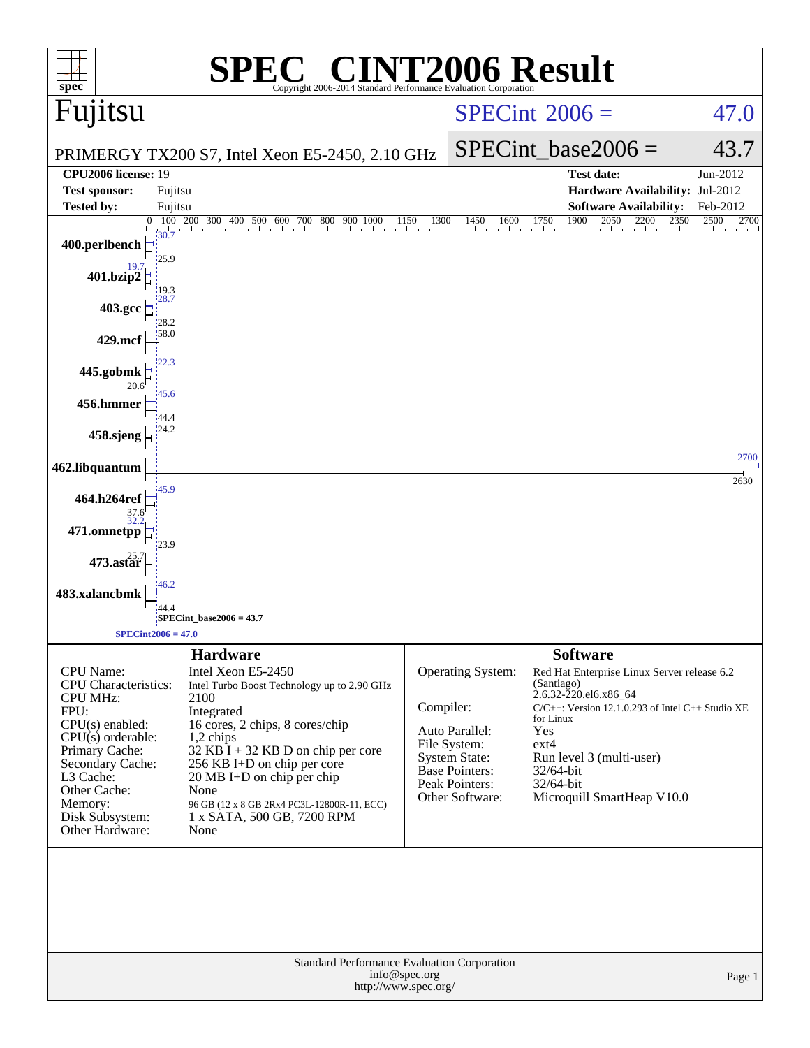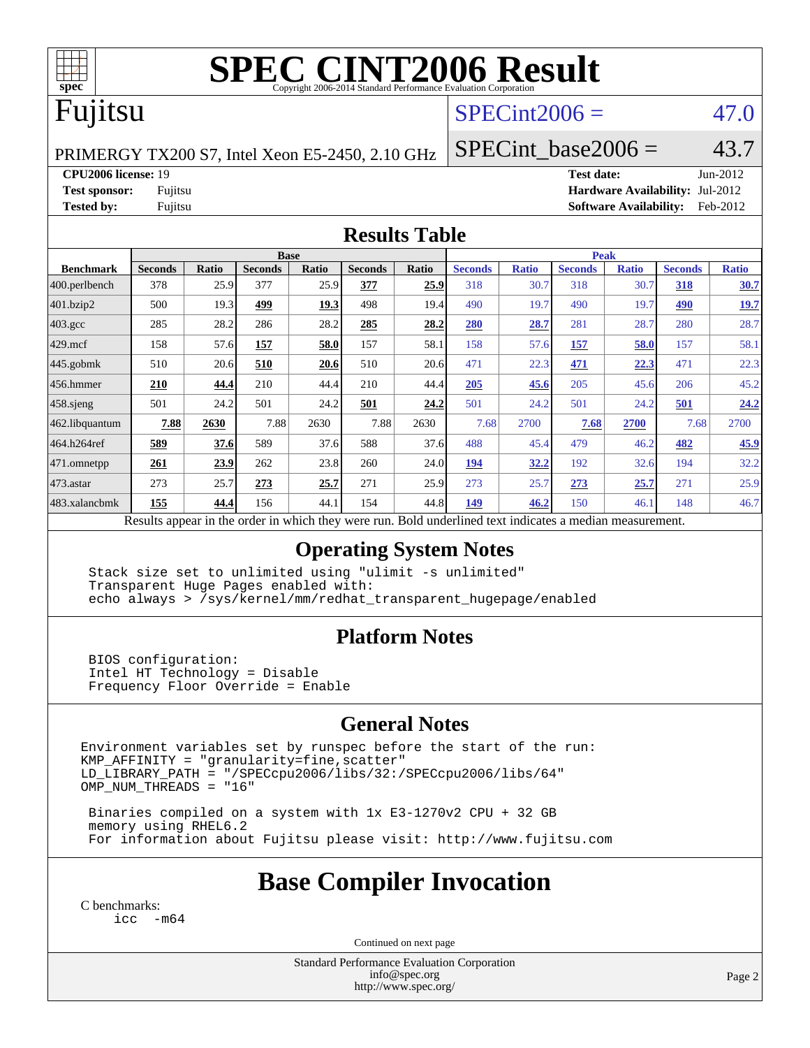

# **[SPEC CINT2006 Result](http://www.spec.org/auto/cpu2006/Docs/result-fields.html#SPECCINT2006Result)**

# Fujitsu

### $SPECint2006 = 47.0$  $SPECint2006 = 47.0$

PRIMERGY TX200 S7, Intel Xeon E5-2450, 2.10 GHz

SPECint base2006 =  $43.7$ 

**[CPU2006 license:](http://www.spec.org/auto/cpu2006/Docs/result-fields.html#CPU2006license)** 19 **[Test date:](http://www.spec.org/auto/cpu2006/Docs/result-fields.html#Testdate)** Jun-2012

**[Test sponsor:](http://www.spec.org/auto/cpu2006/Docs/result-fields.html#Testsponsor)** Fujitsu **[Hardware Availability:](http://www.spec.org/auto/cpu2006/Docs/result-fields.html#HardwareAvailability)** Jul-2012 **[Tested by:](http://www.spec.org/auto/cpu2006/Docs/result-fields.html#Testedby)** Fujitsu **[Software Availability:](http://www.spec.org/auto/cpu2006/Docs/result-fields.html#SoftwareAvailability)** Feb-2012

#### **[Results Table](http://www.spec.org/auto/cpu2006/Docs/result-fields.html#ResultsTable)**

|                                                                                                          | <b>Base</b>    |              |                |       |                |       | <b>Peak</b>    |              |                |              |                |              |
|----------------------------------------------------------------------------------------------------------|----------------|--------------|----------------|-------|----------------|-------|----------------|--------------|----------------|--------------|----------------|--------------|
| <b>Benchmark</b>                                                                                         | <b>Seconds</b> | <b>Ratio</b> | <b>Seconds</b> | Ratio | <b>Seconds</b> | Ratio | <b>Seconds</b> | <b>Ratio</b> | <b>Seconds</b> | <b>Ratio</b> | <b>Seconds</b> | <b>Ratio</b> |
|                                                                                                          |                |              |                |       |                |       |                |              |                |              |                |              |
| $ 400.\text{perlbench}$                                                                                  | 378            | 25.9         | 377            | 25.9  | 377            | 25.9  | 318            | 30.7         | 318            | 30.7         | 318            | 30.7         |
| 401.bzip2                                                                                                | 500            | 19.3         | 499            | 19.3  | 498            | 19.4  | 490            | 19.7         | 490            | 19.7         | 490            | <u>19.7</u>  |
| $403.\text{gcc}$                                                                                         | 285            | 28.2         | 286            | 28.2  | 285            | 28.2  | 280            | 28.7         | 281            | 28.7         | 280            | 28.7         |
| $429$ mcf                                                                                                | 158            | 57.6         | 157            | 58.0  | 157            | 58.1  | 158            | 57.6         | 157            | 58.0         | 157            | 58.1         |
| $ 445.\text{gobmk} $                                                                                     | 510            | 20.6         | 510            | 20.6  | 510            | 20.6  | 471            | 22.3         | 471            | 22.3         | 471            | 22.3         |
| $456.$ hmmer                                                                                             | 210            | 44.4         | 210            | 44.4  | 210            | 44.4  | 205            | 45.6         | 205            | 45.6         | 206            | 45.2         |
| $458$ .sjeng                                                                                             | 501            | 24.2         | 501            | 24.2  | 501            | 24.2  | 501            | 24.2         | 501            | 24.2         | 501            | 24.2         |
| 462.libquantum                                                                                           | 7.88           | 2630         | 7.88           | 2630  | 7.88           | 2630  | 7.68           | 2700         | 7.68           | 2700         | 7.68           | 2700         |
| 464.h264ref                                                                                              | 589            | 37.6         | 589            | 37.6  | 588            | 37.6  | 488            | 45.4         | 479            | 46.2         | 482            | 45.9         |
| $ 471$ .omnetpp                                                                                          | 261            | 23.9         | 262            | 23.8  | 260            | 24.0  | 194            | 32.2         | 192            | 32.6         | 194            | 32.2         |
| $473$ . astar                                                                                            | 273            | 25.7         | 273            | 25.7  | 271            | 25.9  | 273            | 25.7         | 273            | 25.7         | 271            | 25.9         |
| 483.xalancbmk                                                                                            | 155            | 44.4         | 156            | 44.1  | 154            | 44.8  | 149            | 46.2         | 150            | 46.1         | 148            | 46.7         |
| Results appear in the order in which they were run. Bold underlined text indicates a median measurement. |                |              |                |       |                |       |                |              |                |              |                |              |

#### **[Operating System Notes](http://www.spec.org/auto/cpu2006/Docs/result-fields.html#OperatingSystemNotes)**

 Stack size set to unlimited using "ulimit -s unlimited" Transparent Huge Pages enabled with: echo always > /sys/kernel/mm/redhat\_transparent\_hugepage/enabled

#### **[Platform Notes](http://www.spec.org/auto/cpu2006/Docs/result-fields.html#PlatformNotes)**

 BIOS configuration: Intel HT Technology = Disable Frequency Floor Override = Enable

#### **[General Notes](http://www.spec.org/auto/cpu2006/Docs/result-fields.html#GeneralNotes)**

Environment variables set by runspec before the start of the run:  $KMP_A$ FFINITY = "granularity=fine, scatter" LD\_LIBRARY\_PATH = "/SPECcpu2006/libs/32:/SPECcpu2006/libs/64" OMP\_NUM\_THREADS = "16"

 Binaries compiled on a system with 1x E3-1270v2 CPU + 32 GB memory using RHEL6.2 For information about Fujitsu please visit: <http://www.fujitsu.com>

# **[Base Compiler Invocation](http://www.spec.org/auto/cpu2006/Docs/result-fields.html#BaseCompilerInvocation)**

[C benchmarks](http://www.spec.org/auto/cpu2006/Docs/result-fields.html#Cbenchmarks): [icc -m64](http://www.spec.org/cpu2006/results/res2012q3/cpu2006-20120810-24132.flags.html#user_CCbase_intel_icc_64bit_f346026e86af2a669e726fe758c88044)

Continued on next page

Standard Performance Evaluation Corporation [info@spec.org](mailto:info@spec.org) <http://www.spec.org/>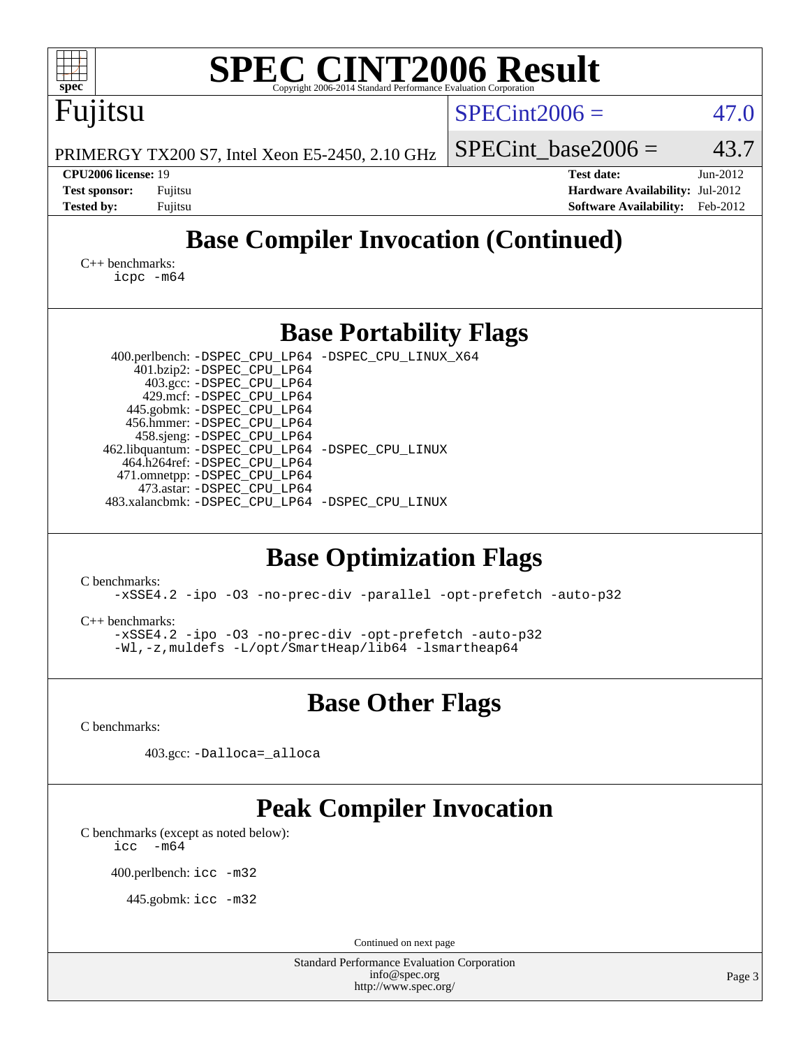| <b>SPEC CINT2006 Result</b><br>spec <sup>®</sup><br>Copyright 2006-2014 Standard Performance Evaluation Corporation                                                                                                                                                                                                                                                                                                                                                                                                                                                                                                                                                                                          |                                                                                                               |  |  |  |  |  |  |  |  |
|--------------------------------------------------------------------------------------------------------------------------------------------------------------------------------------------------------------------------------------------------------------------------------------------------------------------------------------------------------------------------------------------------------------------------------------------------------------------------------------------------------------------------------------------------------------------------------------------------------------------------------------------------------------------------------------------------------------|---------------------------------------------------------------------------------------------------------------|--|--|--|--|--|--|--|--|
| Fujitsu                                                                                                                                                                                                                                                                                                                                                                                                                                                                                                                                                                                                                                                                                                      | $SPECint2006 =$<br>47.0                                                                                       |  |  |  |  |  |  |  |  |
| PRIMERGY TX200 S7, Intel Xeon E5-2450, 2.10 GHz                                                                                                                                                                                                                                                                                                                                                                                                                                                                                                                                                                                                                                                              | 43.7<br>$SPECint base2006 =$                                                                                  |  |  |  |  |  |  |  |  |
| CPU2006 license: 19<br><b>Test sponsor:</b><br>Fujitsu<br><b>Tested by:</b><br>Fujitsu                                                                                                                                                                                                                                                                                                                                                                                                                                                                                                                                                                                                                       | <b>Test date:</b><br>Jun-2012<br>Hardware Availability: Jul-2012<br><b>Software Availability:</b><br>Feb-2012 |  |  |  |  |  |  |  |  |
| <b>Base Compiler Invocation (Continued)</b>                                                                                                                                                                                                                                                                                                                                                                                                                                                                                                                                                                                                                                                                  |                                                                                                               |  |  |  |  |  |  |  |  |
| $C_{++}$ benchmarks:<br>$icpc$ $-m64$                                                                                                                                                                                                                                                                                                                                                                                                                                                                                                                                                                                                                                                                        |                                                                                                               |  |  |  |  |  |  |  |  |
| <b>Base Portability Flags</b>                                                                                                                                                                                                                                                                                                                                                                                                                                                                                                                                                                                                                                                                                |                                                                                                               |  |  |  |  |  |  |  |  |
| 400.perlbench: -DSPEC_CPU_LP64 -DSPEC_CPU_LINUX_X64<br>401.bzip2: -DSPEC_CPU_LP64<br>403.gcc: -DSPEC_CPU_LP64<br>429.mcf: -DSPEC_CPU_LP64<br>445.gobmk: -DSPEC_CPU_LP64<br>456.hmmer: - DSPEC CPU LP64<br>458.sjeng: -DSPEC_CPU_LP64<br>462.libquantum: - DSPEC_CPU_LP64 - DSPEC_CPU_LINUX<br>464.h264ref: -DSPEC_CPU_LP64<br>471.omnetpp: -DSPEC_CPU_LP64<br>473.astar: -DSPEC_CPU_LP64<br>483.xalancbmk: -DSPEC_CPU_LP64 -DSPEC_CPU_LINUX<br><b>Base Optimization Flags</b><br>C benchmarks:<br>-xSSE4.2 -ipo -03 -no-prec-div -parallel -opt-prefetch -auto-p32<br>$C_{++}$ benchmarks:<br>-xSSE4.2 -ipo -03 -no-prec-div -opt-prefetch -auto-p32<br>-Wl,-z, muldefs -L/opt/SmartHeap/lib64 -lsmartheap64 |                                                                                                               |  |  |  |  |  |  |  |  |
| <b>Base Other Flags</b>                                                                                                                                                                                                                                                                                                                                                                                                                                                                                                                                                                                                                                                                                      |                                                                                                               |  |  |  |  |  |  |  |  |
| C benchmarks:                                                                                                                                                                                                                                                                                                                                                                                                                                                                                                                                                                                                                                                                                                |                                                                                                               |  |  |  |  |  |  |  |  |
| 403.gcc: -Dalloca=_alloca                                                                                                                                                                                                                                                                                                                                                                                                                                                                                                                                                                                                                                                                                    |                                                                                                               |  |  |  |  |  |  |  |  |
| <b>Peak Compiler Invocation</b><br>C benchmarks (except as noted below):<br>$-m64$<br>icc<br>400.perlbench: icc -m32<br>445.gobmk: icc -m32                                                                                                                                                                                                                                                                                                                                                                                                                                                                                                                                                                  |                                                                                                               |  |  |  |  |  |  |  |  |
| Continued on next page<br><b>Standard Performance Evaluation Corporation</b><br>info@spec.org                                                                                                                                                                                                                                                                                                                                                                                                                                                                                                                                                                                                                | Page 3                                                                                                        |  |  |  |  |  |  |  |  |
| http://www.spec.org/                                                                                                                                                                                                                                                                                                                                                                                                                                                                                                                                                                                                                                                                                         |                                                                                                               |  |  |  |  |  |  |  |  |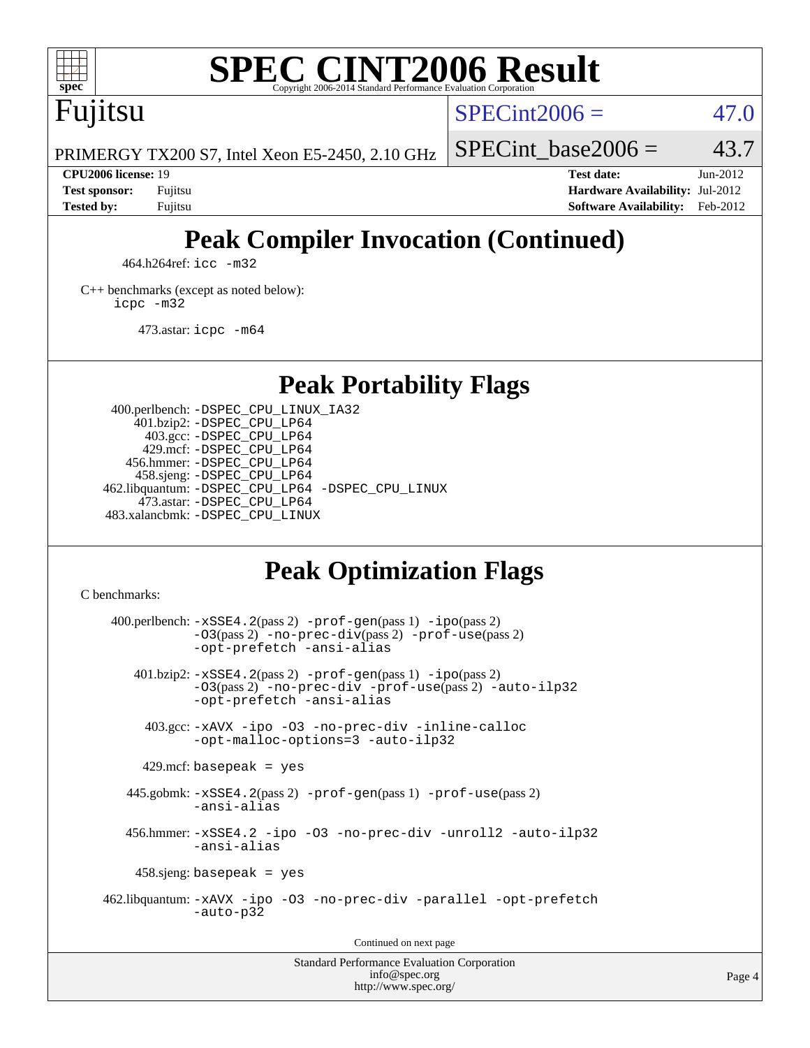

# **[SPEC CINT2006 Result](http://www.spec.org/auto/cpu2006/Docs/result-fields.html#SPECCINT2006Result)**

Fujitsu

 $SPECint2006 = 47.0$  $SPECint2006 = 47.0$ 

PRIMERGY TX200 S7, Intel Xeon E5-2450, 2.10 GHz

**[CPU2006 license:](http://www.spec.org/auto/cpu2006/Docs/result-fields.html#CPU2006license)** 19 **[Test date:](http://www.spec.org/auto/cpu2006/Docs/result-fields.html#Testdate)** Jun-2012 **[Test sponsor:](http://www.spec.org/auto/cpu2006/Docs/result-fields.html#Testsponsor)** Fujitsu **[Hardware Availability:](http://www.spec.org/auto/cpu2006/Docs/result-fields.html#HardwareAvailability)** Jul-2012 **[Tested by:](http://www.spec.org/auto/cpu2006/Docs/result-fields.html#Testedby)** Fujitsu **[Software Availability:](http://www.spec.org/auto/cpu2006/Docs/result-fields.html#SoftwareAvailability)** Feb-2012

SPECint base2006 =  $43.7$ 

# **[Peak Compiler Invocation \(Continued\)](http://www.spec.org/auto/cpu2006/Docs/result-fields.html#PeakCompilerInvocation)**

464.h264ref: [icc -m32](http://www.spec.org/cpu2006/results/res2012q3/cpu2006-20120810-24132.flags.html#user_peakCCLD464_h264ref_intel_icc_a6a621f8d50482236b970c6ac5f55f93)

[C++ benchmarks \(except as noted below\):](http://www.spec.org/auto/cpu2006/Docs/result-fields.html#CXXbenchmarksexceptasnotedbelow) [icpc -m32](http://www.spec.org/cpu2006/results/res2012q3/cpu2006-20120810-24132.flags.html#user_CXXpeak_intel_icpc_4e5a5ef1a53fd332b3c49e69c3330699)

473.astar: [icpc -m64](http://www.spec.org/cpu2006/results/res2012q3/cpu2006-20120810-24132.flags.html#user_peakCXXLD473_astar_intel_icpc_64bit_fc66a5337ce925472a5c54ad6a0de310)

**[Peak Portability Flags](http://www.spec.org/auto/cpu2006/Docs/result-fields.html#PeakPortabilityFlags)**

 400.perlbench: [-DSPEC\\_CPU\\_LINUX\\_IA32](http://www.spec.org/cpu2006/results/res2012q3/cpu2006-20120810-24132.flags.html#b400.perlbench_peakCPORTABILITY_DSPEC_CPU_LINUX_IA32) 401.bzip2: [-DSPEC\\_CPU\\_LP64](http://www.spec.org/cpu2006/results/res2012q3/cpu2006-20120810-24132.flags.html#suite_peakPORTABILITY401_bzip2_DSPEC_CPU_LP64) 403.gcc: [-DSPEC\\_CPU\\_LP64](http://www.spec.org/cpu2006/results/res2012q3/cpu2006-20120810-24132.flags.html#suite_peakPORTABILITY403_gcc_DSPEC_CPU_LP64) 429.mcf: [-DSPEC\\_CPU\\_LP64](http://www.spec.org/cpu2006/results/res2012q3/cpu2006-20120810-24132.flags.html#suite_peakPORTABILITY429_mcf_DSPEC_CPU_LP64) 456.hmmer: [-DSPEC\\_CPU\\_LP64](http://www.spec.org/cpu2006/results/res2012q3/cpu2006-20120810-24132.flags.html#suite_peakPORTABILITY456_hmmer_DSPEC_CPU_LP64) 458.sjeng: [-DSPEC\\_CPU\\_LP64](http://www.spec.org/cpu2006/results/res2012q3/cpu2006-20120810-24132.flags.html#suite_peakPORTABILITY458_sjeng_DSPEC_CPU_LP64) 462.libquantum: [-DSPEC\\_CPU\\_LP64](http://www.spec.org/cpu2006/results/res2012q3/cpu2006-20120810-24132.flags.html#suite_peakPORTABILITY462_libquantum_DSPEC_CPU_LP64) [-DSPEC\\_CPU\\_LINUX](http://www.spec.org/cpu2006/results/res2012q3/cpu2006-20120810-24132.flags.html#b462.libquantum_peakCPORTABILITY_DSPEC_CPU_LINUX) 473.astar: [-DSPEC\\_CPU\\_LP64](http://www.spec.org/cpu2006/results/res2012q3/cpu2006-20120810-24132.flags.html#suite_peakPORTABILITY473_astar_DSPEC_CPU_LP64) 483.xalancbmk: [-DSPEC\\_CPU\\_LINUX](http://www.spec.org/cpu2006/results/res2012q3/cpu2006-20120810-24132.flags.html#b483.xalancbmk_peakCXXPORTABILITY_DSPEC_CPU_LINUX)

# **[Peak Optimization Flags](http://www.spec.org/auto/cpu2006/Docs/result-fields.html#PeakOptimizationFlags)**

[C benchmarks](http://www.spec.org/auto/cpu2006/Docs/result-fields.html#Cbenchmarks):

 $400.$ perlbench:  $-xSSE4$ .  $2(pass 2)$  -prof-qen(pass 1) [-ipo](http://www.spec.org/cpu2006/results/res2012q3/cpu2006-20120810-24132.flags.html#user_peakPASS2_CFLAGSPASS2_LDCFLAGS400_perlbench_f-ipo)(pass 2) [-O3](http://www.spec.org/cpu2006/results/res2012q3/cpu2006-20120810-24132.flags.html#user_peakPASS2_CFLAGSPASS2_LDCFLAGS400_perlbench_f-O3)(pass 2) [-no-prec-div](http://www.spec.org/cpu2006/results/res2012q3/cpu2006-20120810-24132.flags.html#user_peakPASS2_CFLAGSPASS2_LDCFLAGS400_perlbench_f-no-prec-div)(pass 2) [-prof-use](http://www.spec.org/cpu2006/results/res2012q3/cpu2006-20120810-24132.flags.html#user_peakPASS2_CFLAGSPASS2_LDCFLAGS400_perlbench_prof_use_bccf7792157ff70d64e32fe3e1250b55)(pass 2) [-opt-prefetch](http://www.spec.org/cpu2006/results/res2012q3/cpu2006-20120810-24132.flags.html#user_peakCOPTIMIZE400_perlbench_f-opt-prefetch) [-ansi-alias](http://www.spec.org/cpu2006/results/res2012q3/cpu2006-20120810-24132.flags.html#user_peakCOPTIMIZE400_perlbench_f-ansi-alias) 401.bzip2: [-xSSE4.2](http://www.spec.org/cpu2006/results/res2012q3/cpu2006-20120810-24132.flags.html#user_peakPASS2_CFLAGSPASS2_LDCFLAGS401_bzip2_f-xSSE42_f91528193cf0b216347adb8b939d4107)(pass 2) [-prof-gen](http://www.spec.org/cpu2006/results/res2012q3/cpu2006-20120810-24132.flags.html#user_peakPASS1_CFLAGSPASS1_LDCFLAGS401_bzip2_prof_gen_e43856698f6ca7b7e442dfd80e94a8fc)(pass 1) [-ipo](http://www.spec.org/cpu2006/results/res2012q3/cpu2006-20120810-24132.flags.html#user_peakPASS2_CFLAGSPASS2_LDCFLAGS401_bzip2_f-ipo)(pass 2) [-O3](http://www.spec.org/cpu2006/results/res2012q3/cpu2006-20120810-24132.flags.html#user_peakPASS2_CFLAGSPASS2_LDCFLAGS401_bzip2_f-O3)(pass 2) [-no-prec-div](http://www.spec.org/cpu2006/results/res2012q3/cpu2006-20120810-24132.flags.html#user_peakCOPTIMIZEPASS2_CFLAGSPASS2_LDCFLAGS401_bzip2_f-no-prec-div) [-prof-use](http://www.spec.org/cpu2006/results/res2012q3/cpu2006-20120810-24132.flags.html#user_peakPASS2_CFLAGSPASS2_LDCFLAGS401_bzip2_prof_use_bccf7792157ff70d64e32fe3e1250b55)(pass 2) [-auto-ilp32](http://www.spec.org/cpu2006/results/res2012q3/cpu2006-20120810-24132.flags.html#user_peakCOPTIMIZE401_bzip2_f-auto-ilp32) [-opt-prefetch](http://www.spec.org/cpu2006/results/res2012q3/cpu2006-20120810-24132.flags.html#user_peakCOPTIMIZE401_bzip2_f-opt-prefetch) [-ansi-alias](http://www.spec.org/cpu2006/results/res2012q3/cpu2006-20120810-24132.flags.html#user_peakCOPTIMIZE401_bzip2_f-ansi-alias) 403.gcc: [-xAVX](http://www.spec.org/cpu2006/results/res2012q3/cpu2006-20120810-24132.flags.html#user_peakCOPTIMIZE403_gcc_f-xAVX) [-ipo](http://www.spec.org/cpu2006/results/res2012q3/cpu2006-20120810-24132.flags.html#user_peakCOPTIMIZE403_gcc_f-ipo) [-O3](http://www.spec.org/cpu2006/results/res2012q3/cpu2006-20120810-24132.flags.html#user_peakCOPTIMIZE403_gcc_f-O3) [-no-prec-div](http://www.spec.org/cpu2006/results/res2012q3/cpu2006-20120810-24132.flags.html#user_peakCOPTIMIZE403_gcc_f-no-prec-div) [-inline-calloc](http://www.spec.org/cpu2006/results/res2012q3/cpu2006-20120810-24132.flags.html#user_peakCOPTIMIZE403_gcc_f-inline-calloc) [-opt-malloc-options=3](http://www.spec.org/cpu2006/results/res2012q3/cpu2006-20120810-24132.flags.html#user_peakCOPTIMIZE403_gcc_f-opt-malloc-options_13ab9b803cf986b4ee62f0a5998c2238) [-auto-ilp32](http://www.spec.org/cpu2006/results/res2012q3/cpu2006-20120810-24132.flags.html#user_peakCOPTIMIZE403_gcc_f-auto-ilp32)  $429$ .mcf: basepeak = yes 445.gobmk: [-xSSE4.2](http://www.spec.org/cpu2006/results/res2012q3/cpu2006-20120810-24132.flags.html#user_peakPASS2_CFLAGSPASS2_LDCFLAGS445_gobmk_f-xSSE42_f91528193cf0b216347adb8b939d4107)(pass 2) [-prof-gen](http://www.spec.org/cpu2006/results/res2012q3/cpu2006-20120810-24132.flags.html#user_peakPASS1_CFLAGSPASS1_LDCFLAGS445_gobmk_prof_gen_e43856698f6ca7b7e442dfd80e94a8fc)(pass 1) [-prof-use](http://www.spec.org/cpu2006/results/res2012q3/cpu2006-20120810-24132.flags.html#user_peakPASS2_CFLAGSPASS2_LDCFLAGS445_gobmk_prof_use_bccf7792157ff70d64e32fe3e1250b55)(pass 2) [-ansi-alias](http://www.spec.org/cpu2006/results/res2012q3/cpu2006-20120810-24132.flags.html#user_peakCOPTIMIZE445_gobmk_f-ansi-alias) 456.hmmer: [-xSSE4.2](http://www.spec.org/cpu2006/results/res2012q3/cpu2006-20120810-24132.flags.html#user_peakCOPTIMIZE456_hmmer_f-xSSE42_f91528193cf0b216347adb8b939d4107) [-ipo](http://www.spec.org/cpu2006/results/res2012q3/cpu2006-20120810-24132.flags.html#user_peakCOPTIMIZE456_hmmer_f-ipo) [-O3](http://www.spec.org/cpu2006/results/res2012q3/cpu2006-20120810-24132.flags.html#user_peakCOPTIMIZE456_hmmer_f-O3) [-no-prec-div](http://www.spec.org/cpu2006/results/res2012q3/cpu2006-20120810-24132.flags.html#user_peakCOPTIMIZE456_hmmer_f-no-prec-div) [-unroll2](http://www.spec.org/cpu2006/results/res2012q3/cpu2006-20120810-24132.flags.html#user_peakCOPTIMIZE456_hmmer_f-unroll_784dae83bebfb236979b41d2422d7ec2) [-auto-ilp32](http://www.spec.org/cpu2006/results/res2012q3/cpu2006-20120810-24132.flags.html#user_peakCOPTIMIZE456_hmmer_f-auto-ilp32) [-ansi-alias](http://www.spec.org/cpu2006/results/res2012q3/cpu2006-20120810-24132.flags.html#user_peakCOPTIMIZE456_hmmer_f-ansi-alias) 458.sjeng: basepeak = yes 462.libquantum: [-xAVX](http://www.spec.org/cpu2006/results/res2012q3/cpu2006-20120810-24132.flags.html#user_peakCOPTIMIZE462_libquantum_f-xAVX) [-ipo](http://www.spec.org/cpu2006/results/res2012q3/cpu2006-20120810-24132.flags.html#user_peakCOPTIMIZE462_libquantum_f-ipo) [-O3](http://www.spec.org/cpu2006/results/res2012q3/cpu2006-20120810-24132.flags.html#user_peakCOPTIMIZE462_libquantum_f-O3) [-no-prec-div](http://www.spec.org/cpu2006/results/res2012q3/cpu2006-20120810-24132.flags.html#user_peakCOPTIMIZE462_libquantum_f-no-prec-div) [-parallel](http://www.spec.org/cpu2006/results/res2012q3/cpu2006-20120810-24132.flags.html#user_peakCOPTIMIZE462_libquantum_f-parallel) [-opt-prefetch](http://www.spec.org/cpu2006/results/res2012q3/cpu2006-20120810-24132.flags.html#user_peakCOPTIMIZE462_libquantum_f-opt-prefetch) [-auto-p32](http://www.spec.org/cpu2006/results/res2012q3/cpu2006-20120810-24132.flags.html#user_peakCOPTIMIZE462_libquantum_f-auto-p32) Continued on next page

Standard Performance Evaluation Corporation [info@spec.org](mailto:info@spec.org) <http://www.spec.org/>